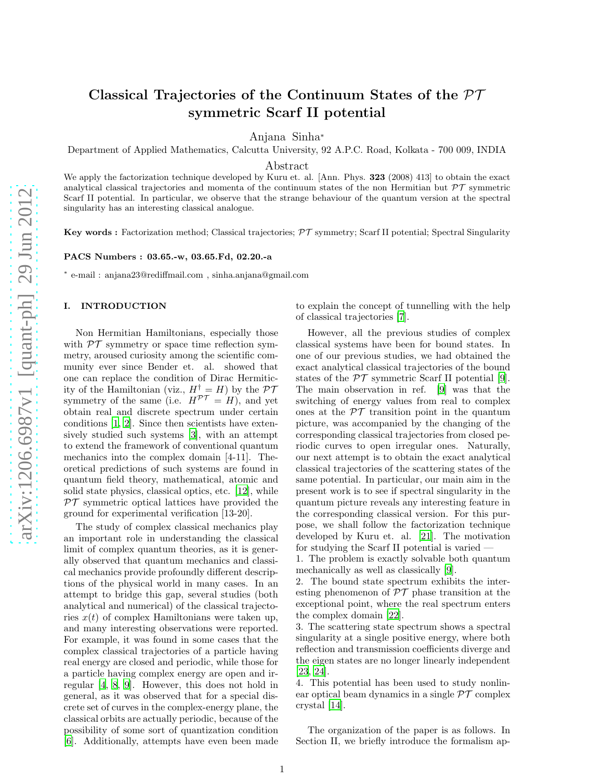# Classical Trajectories of the Continuum States of the  $\mathcal{PT}$ symmetric Scarf II potential

Anjana Sinha<sup>∗</sup>

Department of Applied Mathematics, Calcutta University, 92 A.P.C. Road, Kolkata - 700 009, INDIA

Abstract

We apply the factorization technique developed by Kuru et. al. [Ann. Phys. 323 (2008) 413] to obtain the exact analytical classical trajectories and momenta of the continuum states of the non-Hermitian but  $\mathcal{PT}$  symmetric Scarf II potential. In particular, we observe that the strange behaviour of the quantum version at the spectral singularity has an interesting classical analogue.

Key words : Factorization method; Classical trajectories;  $\mathcal{PT}$  symmetry; Scarf II potential; Spectral Singularity

PACS Numbers : 03.65.-w, 03.65.Fd, 02.20.-a

∗ e-mail : anjana23@rediffmail.com , sinha.anjana@gmail.com

#### I. INTRODUCTION

Non Hermitian Hamiltonians, especially those with  $\mathcal{PT}$  symmetry or space time reflection symmetry, aroused curiosity among the scientific community ever since Bender et. al. showed that one can replace the condition of Dirac Hermiticity of the Hamiltonian (viz.,  $H^{\dagger} = H$ ) by the P7 symmetry of the same (i.e.  $H^{\mathcal{PT}} = H$ ), and yet obtain real and discrete spectrum under certain conditions [\[1](#page-6-0), [2](#page-6-1)]. Since then scientists have extensively studied such systems [\[3\]](#page-6-2), with an attempt to extend the framework of conventional quantum mechanics into the complex domain [4-11]. Theoretical predictions of such systems are found in quantum field theory, mathematical, atomic and solid state physics, classical optics, etc. [\[12](#page-6-3)], while  $PT$  symmetric optical lattices have provided the ground for experimental verification [13-20].

The study of complex classical mechanics play an important role in understanding the classical limit of complex quantum theories, as it is generally observed that quantum mechanics and classical mechanics provide profoundly different descriptions of the physical world in many cases. In an attempt to bridge this gap, several studies (both analytical and numerical) of the classical trajectories  $x(t)$  of complex Hamiltonians were taken up, and many interesting observations were reported. For example, it was found in some cases that the complex classical trajectories of a particle having real energy are closed and periodic, while those for a particle having complex energy are open and irregular [\[4](#page-6-4), [8,](#page-6-5) [9\]](#page-6-6). However, this does not hold in general, as it was observed that for a special discrete set of curves in the complex-energy plane, the classical orbits are actually periodic, because of the possibility of some sort of quantization condition [\[6\]](#page-6-7). Additionally, attempts have even been made to explain the concept of tunnelling with the help of classical trajectories [\[7](#page-6-8)].

However, all the previous studies of complex classical systems have been for bound states. In one of our previous studies, we had obtained the exact analytical classical trajectories of the bound states of the  $\mathcal{PT}$  symmetric Scarf II potential [\[9\]](#page-6-6). The main observation in ref. [\[9](#page-6-6)] was that the switching of energy values from real to complex ones at the  $\mathcal{PT}$  transition point in the quantum picture, was accompanied by the changing of the corresponding classical trajectories from closed periodic curves to open irregular ones. Naturally, our next attempt is to obtain the exact analytical classical trajectories of the scattering states of the same potential. In particular, our main aim in the present work is to see if spectral singularity in the quantum picture reveals any interesting feature in the corresponding classical version. For this purpose, we shall follow the factorization technique developed by Kuru et. al. [\[21\]](#page-6-9). The motivation for studying the Scarf II potential is varied —

1. The problem is exactly solvable both quantum mechanically as well as classically [\[9\]](#page-6-6).

2. The bound state spectrum exhibits the interesting phenomenon of  $\mathcal{PT}$  phase transition at the exceptional point, where the real spectrum enters the complex domain [\[22\]](#page-6-10).

3. The scattering state spectrum shows a spectral singularity at a single positive energy, where both reflection and transmission coefficients diverge and the eigen states are no longer linearly independent [\[23](#page-6-11), [24](#page-6-12)].

4. This potential has been used to study nonlinear optical beam dynamics in a single  $\mathcal{PT}$  complex crystal [\[14\]](#page-6-13).

The organization of the paper is as follows. In Section II, we briefly introduce the formalism ap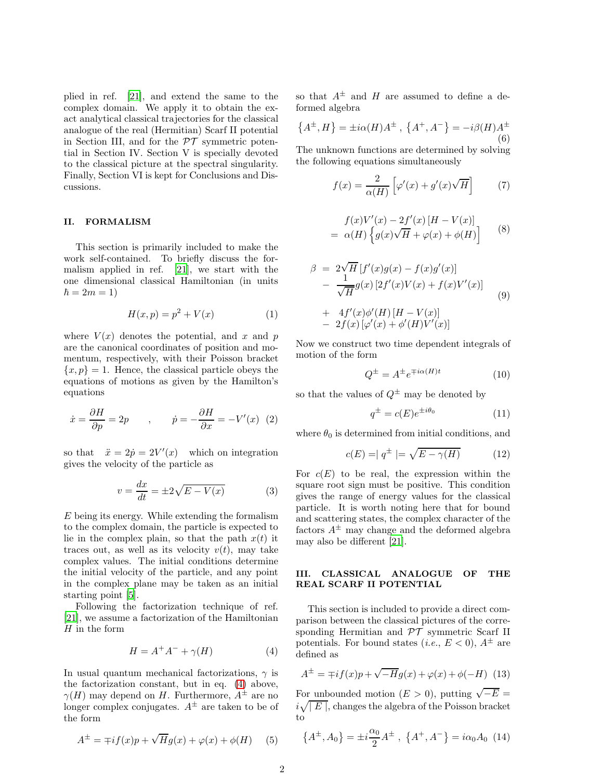plied in ref. [\[21\]](#page-6-9), and extend the same to the complex domain. We apply it to obtain the exact analytical classical trajectories for the classical analogue of the real (Hermitian) Scarf II potential in Section III, and for the  $\mathcal{PT}$  symmetric potential in Section IV. Section V is specially devoted to the classical picture at the spectral singularity. Finally, Section VI is kept for Conclusions and Discussions.

### II. FORMALISM

This section is primarily included to make the work self-contained. To briefly discuss the formalism applied in ref. [\[21\]](#page-6-9), we start with the one dimensional classical Hamiltonian (in units  $\hbar = 2m = 1$ 

$$
H(x,p) = p^2 + V(x) \tag{1}
$$

where  $V(x)$  denotes the potential, and x and p are the canonical coordinates of position and momentum, respectively, with their Poisson bracket  $\{x, p\} = 1$ . Hence, the classical particle obeys the equations of motions as given by the Hamilton's equations

$$
\dot{x} = \frac{\partial H}{\partial p} = 2p \qquad , \qquad \dot{p} = -\frac{\partial H}{\partial x} = -V'(x) \tag{2}
$$

so that  $\ddot{x} = 2\dot{p} = 2V'(x)$  which on integration gives the velocity of the particle as

$$
v = \frac{dx}{dt} = \pm 2\sqrt{E - V(x)}\tag{3}
$$

E being its energy. While extending the formalism to the complex domain, the particle is expected to lie in the complex plain, so that the path  $x(t)$  it traces out, as well as its velocity  $v(t)$ , may take complex values. The initial conditions determine the initial velocity of the particle, and any point in the complex plane may be taken as an initial starting point [\[5\]](#page-6-14).

Following the factorization technique of ref. [\[21\]](#page-6-9), we assume a factorization of the Hamiltonian  $H$  in the form

<span id="page-1-0"></span>
$$
H = A^+A^- + \gamma(H) \tag{4}
$$

In usual quantum mechanical factorizations,  $\gamma$  is the factorization constant, but in eq. [\(4\)](#page-1-0) above,  $\gamma(H)$  may depend on H. Furthermore,  $A^{\pm}$  are no longer complex conjugates.  $A^{\pm}$  are taken to be of the form

$$
A^{\pm} = \mp i f(x) p + \sqrt{H} g(x) + \varphi(x) + \phi(H) \quad (5)
$$

so that  $A^{\pm}$  and H are assumed to define a deformed algebra

$$
\{A^{\pm}, H\} = \pm i\alpha(H)A^{\pm} , \{A^{+}, A^{-}\} = -i\beta(H)A^{\pm}
$$
<sup>(6)</sup>

The unknown functions are determined by solving the following equations simultaneously

<span id="page-1-2"></span>
$$
f(x) = \frac{2}{\alpha(H)} \left[ \varphi'(x) + g'(x)\sqrt{H} \right] \tag{7}
$$

<span id="page-1-3"></span>
$$
f(x)V'(x) - 2f'(x)[H - V(x)]
$$
  
=  $\alpha(H) \left\{ g(x)\sqrt{H} + \varphi(x) + \phi(H) \right\}$  (8)

<span id="page-1-4"></span>
$$
\beta = 2\sqrt{H} [f'(x)g(x) - f(x)g'(x)] \n- \frac{1}{\sqrt{H}} g(x) [2f'(x)V(x) + f(x)V'(x)] \n+ 4f'(x)\phi'(H) [H - V(x)] \n- 2f(x) [\varphi'(x) + \phi'(H)V'(x)]
$$
\n(9)

Now we construct two time dependent integrals of motion of the form

$$
Q^{\pm} = A^{\pm} e^{\mp i\alpha(H)t} \tag{10}
$$

so that the values of  $Q^{\pm}$  may be denoted by

$$
q^{\pm} = c(E)e^{\pm i\theta_0} \tag{11}
$$

where  $\theta_0$  is determined from initial conditions, and

$$
c(E) = |q^{\pm}| = \sqrt{E - \gamma(H)} \tag{12}
$$

For  $c(E)$  to be real, the expression within the square root sign must be positive. This condition gives the range of energy values for the classical particle. It is worth noting here that for bound and scattering states, the complex character of the factors  $A^{\pm}$  may change and the deformed algebra may also be different [\[21\]](#page-6-9).

#### III. CLASSICAL ANALOGUE OF THE REAL SCARF II POTENTIAL

This section is included to provide a direct comparison between the classical pictures of the corresponding Hermitian and  $\mathcal{PT}$  symmetric Scarf II potentials. For bound states (*i.e.*,  $E < 0$ ),  $A^{\pm}$  are defined as

<span id="page-1-1"></span>
$$
A^{\pm} = \mp i f(x) p + \sqrt{-H} g(x) + \varphi(x) + \phi(-H)
$$
 (13)

For unbounded motion  $(E > 0)$ , putting  $\sqrt{-E}$  =  $i\sqrt{\mid E \mid}$ , changes the algebra of the Poisson bracket to

$$
\{A^{\pm}, A_0\} = \pm i \frac{\alpha_0}{2} A^{\pm} , \{A^+, A^-\} = i \alpha_0 A_0
$$
 (14)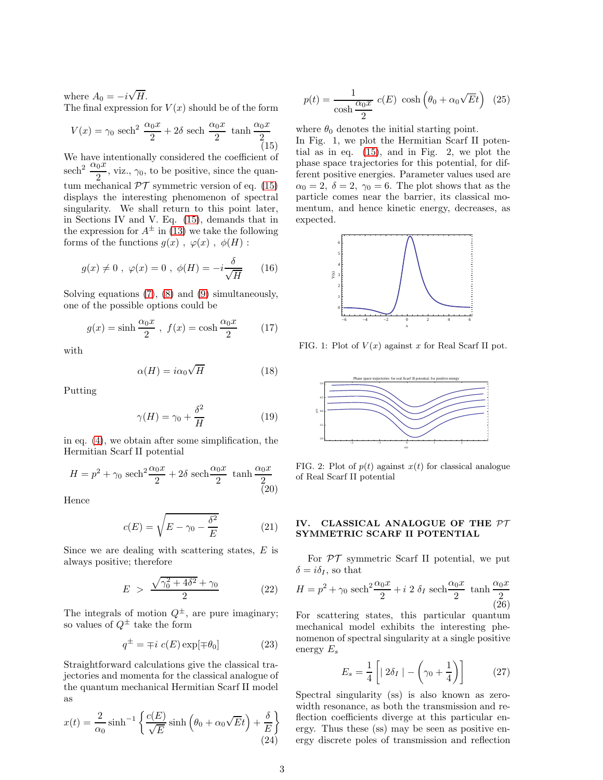where  $A_0 = -i\sqrt{H}$ . The final expression for  $V(x)$  should be of the form

<span id="page-2-0"></span>
$$
V(x) = \gamma_0 \text{ sech}^2 \frac{\alpha_0 x}{2} + 2\delta \text{ sech } \frac{\alpha_0 x}{2} \tanh \frac{\alpha_0 x}{2}
$$
(15)

We have intentionally considered the coefficient of sech<sup>2</sup>  $\frac{\alpha_0 x}{2}$ , viz.,  $\gamma_0$ , to be positive, since the quantum mechanical  $\mathcal{PT}$  symmetric version of eq. [\(15\)](#page-2-0) displays the interesting phenomenon of spectral singularity. We shall return to this point later, in Sections IV and V. Eq. [\(15\)](#page-2-0), demands that in the expression for  $A^{\pm}$  in [\(13\)](#page-1-1) we take the following forms of the functions  $g(x)$ ,  $\varphi(x)$ ,  $\phi(H)$ :

$$
g(x) \neq 0
$$
,  $\varphi(x) = 0$ ,  $\phi(H) = -i \frac{\delta}{\sqrt{H}}$  (16)

Solving equations [\(7\)](#page-1-2), [\(8\)](#page-1-3) and [\(9\)](#page-1-4) simultaneously, one of the possible options could be

$$
g(x) = \sinh \frac{\alpha_0 x}{2}, \ f(x) = \cosh \frac{\alpha_0 x}{2} \qquad (17)
$$

with

$$
\alpha(H) = i\alpha_0 \sqrt{H} \tag{18}
$$

Putting

$$
\gamma(H) = \gamma_0 + \frac{\delta^2}{H} \tag{19}
$$

in eq. [\(4\)](#page-1-0), we obtain after some simplification, the Hermitian Scarf II potential

$$
H = p^2 + \gamma_0 \operatorname{sech}^2 \frac{\alpha_0 x}{2} + 2\delta \operatorname{sech} \frac{\alpha_0 x}{2} \tanh \frac{\alpha_0 x}{2}
$$

Hence

$$
c(E) = \sqrt{E - \gamma_0 - \frac{\delta^2}{E}} \tag{21}
$$

Since we are dealing with scattering states,  $E$  is always positive; therefore

$$
E > \frac{\sqrt{\gamma_0^2 + 4\delta^2} + \gamma_0}{2} \tag{22}
$$

The integrals of motion  $Q^{\pm}$ , are pure imaginary; so values of  $Q^{\pm}$  take the form

$$
q^{\pm} = \mp i \ c(E) \exp[\mp \theta_0]
$$
 (23)

Straightforward calculations give the classical trajectories and momenta for the classical analogue of the quantum mechanical Hermitian Scarf II model as

<span id="page-2-2"></span>
$$
x(t) = \frac{2}{\alpha_0} \sinh^{-1} \left\{ \frac{c(E)}{\sqrt{E}} \sinh \left( \theta_0 + \alpha_0 \sqrt{E} t \right) + \frac{\delta}{E} \right\}
$$
\n(24)

<span id="page-2-3"></span>
$$
p(t) = \frac{1}{\cosh \frac{\alpha_0 x}{2}} c(E) \cosh \left(\theta_0 + \alpha_0 \sqrt{E}t\right) (25)
$$

where  $\theta_0$  denotes the initial starting point.

In Fig. 1, we plot the Hermitian Scarf II potential as in eq. [\(15\)](#page-2-0), and in Fig. 2, we plot the phase space trajectories for this potential, for different positive energies. Parameter values used are  $\alpha_0 = 2, \delta = 2, \gamma_0 = 6$ . The plot shows that as the particle comes near the barrier, its classical momentum, and hence kinetic energy, decreases, as expected.



FIG. 1: Plot of  $V(x)$  against x for Real Scarf II pot.



FIG. 2: Plot of  $p(t)$  against  $x(t)$  for classical analogue of Real Scarf II potential

### IV. CLASSICAL ANALOGUE OF THE PT SYMMETRIC SCARF II POTENTIAL

For  $\mathcal{PT}$  symmetric Scarf II potential, we put  $\delta = i \delta_I,$  so that

<span id="page-2-1"></span>
$$
H = p2 + \gamma_0 \operatorname{sech}^{2} \frac{\alpha_0 x}{2} + i 2 \delta_I \operatorname{sech} \frac{\alpha_0 x}{2} \tanh \frac{\alpha_0 x}{2}
$$

For scattering states, this particular quantum mechanical model exhibits the interesting phenomenon of spectral singularity at a single positive energy  $E_s$ 

$$
E_s = \frac{1}{4} \left[ | 2\delta_I | - \left( \gamma_0 + \frac{1}{4} \right) \right] \tag{27}
$$

Spectral singularity (ss) is also known as zerowidth resonance, as both the transmission and reflection coefficients diverge at this particular energy. Thus these (ss) may be seen as positive energy discrete poles of transmission and reflection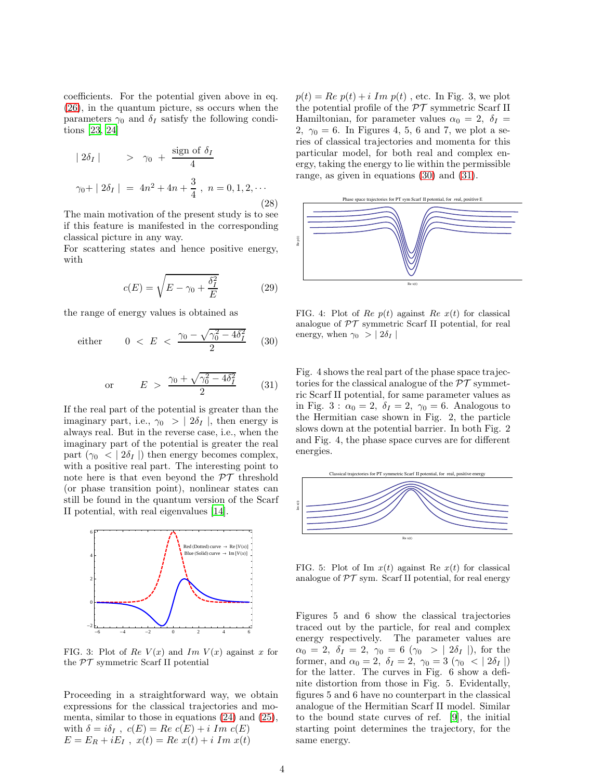coefficients. For the potential given above in eq. [\(26\)](#page-2-1), in the quantum picture, ss occurs when the parameters  $\gamma_0$  and  $\delta_I$  satisfy the following conditions [\[23,](#page-6-11) [24\]](#page-6-12)

$$
|2\delta_I| > \gamma_0 + \frac{\text{sign of } \delta_I}{4}
$$
  

$$
\gamma_0 + |2\delta_I| = 4n^2 + 4n + \frac{3}{4}, n = 0, 1, 2, \cdots
$$
 (28)

The main motivation of the present study is to see if this feature is manifested in the corresponding classical picture in any way.

For scattering states and hence positive energy, with

$$
c(E) = \sqrt{E - \gamma_0 + \frac{\delta_I^2}{E}}
$$
 (29)

the range of energy values is obtained as

<span id="page-3-0"></span>either 
$$
0 < E < \frac{\gamma_0 - \sqrt{\gamma_0^2 - 4\delta_I^2}}{2}
$$
 (30)

<span id="page-3-1"></span>or 
$$
E > \frac{\gamma_0 + \sqrt{\gamma_0^2 - 4\delta_I^2}}{2}
$$
 (31)

If the real part of the potential is greater than the imaginary part, i.e.,  $\gamma_0 > | 2\delta_I |$ , then energy is always real. But in the reverse case, i.e., when the imaginary part of the potential is greater the real part  $(\gamma_0 < | 2\delta_I |)$  then energy becomes complex, with a positive real part. The interesting point to note here is that even beyond the  $\mathcal{PT}$  threshold (or phase transition point), nonlinear states can still be found in the quantum version of the Scarf II potential, with real eigenvalues [\[14\]](#page-6-13).



FIG. 3: Plot of Re  $V(x)$  and Im  $V(x)$  against x for the  $\mathcal{PT}$  symmetric Scarf II potential

Proceeding in a straightforward way, we obtain expressions for the classical trajectories and momenta, similar to those in equations [\(24\)](#page-2-2) and [\(25\)](#page-2-3), with  $\delta = i\delta_I$ ,  $c(E) = Re \ c(E) + i Im \ c(E)$  $E = E_R + iE_I$ ,  $x(t) = Re \; x(t) + i \; Im \; x(t)$ 

 $p(t) = Re p(t) + i Im p(t)$ , etc. In Fig. 3, we plot the potential profile of the  $\mathcal{PT}$  symmetric Scarf II Hamiltonian, for parameter values  $\alpha_0 = 2$ ,  $\delta_I =$ 2,  $\gamma_0 = 6$ . In Figures 4, 5, 6 and 7, we plot a series of classical trajectories and momenta for this particular model, for both real and complex energy, taking the energy to lie within the permissible range, as given in equations [\(30\)](#page-3-0) and [\(31\)](#page-3-1).



FIG. 4: Plot of Re  $p(t)$  against Re  $x(t)$  for classical analogue of  $\mathcal{PT}$  symmetric Scarf II potential, for real energy, when  $\gamma_0$  > |  $2\delta_I$  |

Fig. 4 shows the real part of the phase space trajectories for the classical analogue of the  $\mathcal{PT}$  symmetric Scarf II potential, for same parameter values as in Fig. 3:  $\alpha_0 = 2$ ,  $\delta_I = 2$ ,  $\gamma_0 = 6$ . Analogous to the Hermitian case shown in Fig. 2, the particle slows down at the potential barrier. In both Fig. 2 and Fig. 4, the phase space curves are for different energies.



FIG. 5: Plot of Im  $x(t)$  against Re  $x(t)$  for classical analogue of  $\mathcal{PT}$  sym. Scarf II potential, for real energy

Figures 5 and 6 show the classical trajectories traced out by the particle, for real and complex energy respectively. The parameter values are  $\alpha_0 = 2, \delta_I = 2, \gamma_0 = 6 \ (\gamma_0 > | 2\delta_I |),$  for the former, and  $\alpha_0 = 2$ ,  $\delta_I = 2$ ,  $\gamma_0 = 3$  ( $\gamma_0 < |2\delta_I|$ ) for the latter. The curves in Fig. 6 show a definite distortion from those in Fig. 5. Evidentally, figures 5 and 6 have no counterpart in the classical analogue of the Hermitian Scarf II model. Similar to the bound state curves of ref. [\[9](#page-6-6)], the initial starting point determines the trajectory, for the same energy.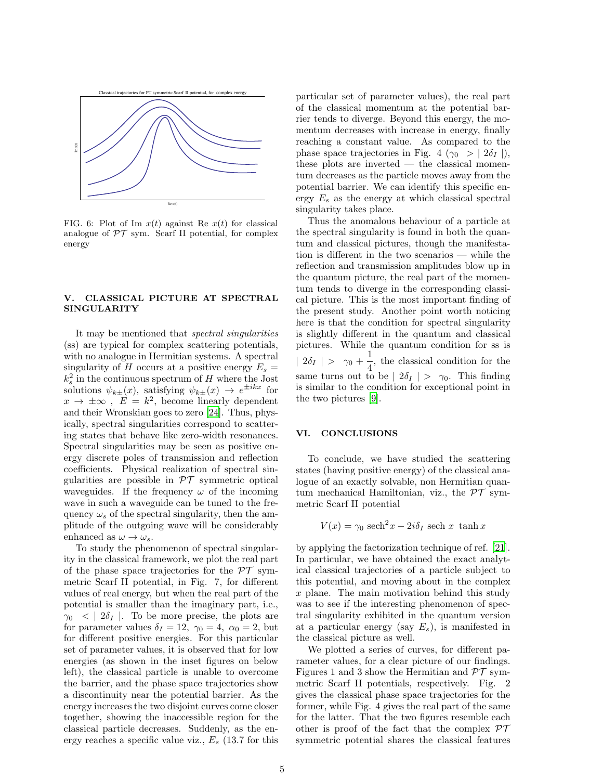

FIG. 6: Plot of Im  $x(t)$  against Re  $x(t)$  for classical analogue of  $\mathcal{PT}$  sym. Scarf II potential, for complex energy

# V. CLASSICAL PICTURE AT SPECTRAL SINGULARITY

It may be mentioned that spectral singularities (ss) are typical for complex scattering potentials, with no analogue in Hermitian systems. A spectral singularity of H occurs at a positive energy  $E_s =$  $k_s^2$  in the continuous spectrum of H where the Jost solutions  $\psi_{k\pm}(x)$ , satisfying  $\psi_{k\pm}(x) \rightarrow e^{\pm ikx}$  for  $x \to \pm \infty$ ,  $E = k^2$ , become linearly dependent and their Wronskian goes to zero [\[24\]](#page-6-12). Thus, physically, spectral singularities correspond to scattering states that behave like zero-width resonances. Spectral singularities may be seen as positive energy discrete poles of transmission and reflection coefficients. Physical realization of spectral singularities are possible in  $\mathcal{PT}$  symmetric optical waveguides. If the frequency  $\omega$  of the incoming wave in such a waveguide can be tuned to the frequency  $\omega_s$  of the spectral singularity, then the amplitude of the outgoing wave will be considerably enhanced as  $\omega \to \omega_s$ .

To study the phenomenon of spectral singularity in the classical framework, we plot the real part of the phase space trajectories for the  $\mathcal{PT}$  symmetric Scarf II potential, in Fig. 7, for different values of real energy, but when the real part of the potential is smaller than the imaginary part, i.e.,  $\gamma_0$  < |  $2\delta_I$  |. To be more precise, the plots are for parameter values  $\delta_I = 12$ ,  $\gamma_0 = 4$ ,  $\alpha_0 = 2$ , but for different positive energies. For this particular set of parameter values, it is observed that for low energies (as shown in the inset figures on below left), the classical particle is unable to overcome the barrier, and the phase space trajectories show a discontinuity near the potential barrier. As the energy increases the two disjoint curves come closer together, showing the inaccessible region for the classical particle decreases. Suddenly, as the energy reaches a specific value viz.,  $E_s$  (13.7 for this particular set of parameter values), the real part of the classical momentum at the potential barrier tends to diverge. Beyond this energy, the momentum decreases with increase in energy, finally reaching a constant value. As compared to the phase space trajectories in Fig. 4 ( $\gamma_0 > | 2\delta_I |$ ), these plots are inverted — the classical momentum decreases as the particle moves away from the potential barrier. We can identify this specific energy  $E_s$  as the energy at which classical spectral singularity takes place.

Thus the anomalous behaviour of a particle at the spectral singularity is found in both the quantum and classical pictures, though the manifestation is different in the two scenarios — while the reflection and transmission amplitudes blow up in the quantum picture, the real part of the momentum tends to diverge in the corresponding classical picture. This is the most important finding of the present study. Another point worth noticing here is that the condition for spectral singularity is slightly different in the quantum and classical pictures. While the quantum condition for ss is |  $2\delta_I$  | >  $\gamma_0 + \frac{1}{4}$  $\frac{1}{4}$ , the classical condition for the same turns out to be  $| 2\delta_I | > \gamma_0$ . This finding is similar to the condition for exceptional point in the two pictures [\[9\]](#page-6-6).

## VI. CONCLUSIONS

To conclude, we have studied the scattering states (having positive energy) of the classical analogue of an exactly solvable, non Hermitian quantum mechanical Hamiltonian, viz., the  $\mathcal{PT}$  symmetric Scarf II potential

$$
V(x) = \gamma_0 \operatorname{sech}^2 x - 2i\delta_I \operatorname{sech} x \, \tanh x
$$

by applying the factorization technique of ref. [\[21\]](#page-6-9). In particular, we have obtained the exact analytical classical trajectories of a particle subject to this potential, and moving about in the complex x plane. The main motivation behind this study was to see if the interesting phenomenon of spectral singularity exhibited in the quantum version at a particular energy (say  $E_s$ ), is manifested in the classical picture as well.

We plotted a series of curves, for different parameter values, for a clear picture of our findings. Figures 1 and 3 show the Hermitian and  $\mathcal{PT}$  symmetric Scarf II potentials, respectively. Fig. 2 gives the classical phase space trajectories for the former, while Fig. 4 gives the real part of the same for the latter. That the two figures resemble each other is proof of the fact that the complex  $\mathcal{PT}$ symmetric potential shares the classical features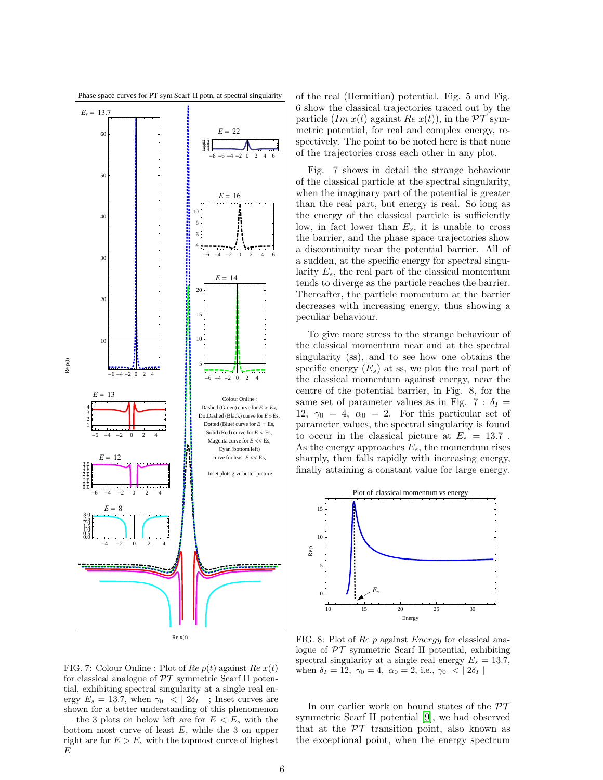

of the real (Hermitian) potential. Fig. 5 and Fig. 6 show the classical trajectories traced out by the particle  $(Im x(t))$  against  $Re x(t)$ , in the  $\mathcal{PT}$  symmetric potential, for real and complex energy, respectively. The point to be noted here is that none of the trajectories cross each other in any plot.

Fig. 7 shows in detail the strange behaviour of the classical particle at the spectral singularity, when the imaginary part of the potential is greater than the real part, but energy is real. So long as the energy of the classical particle is sufficiently low, in fact lower than  $E_s$ , it is unable to cross the barrier, and the phase space trajectories show a discontinuity near the potential barrier. All of a sudden, at the specific energy for spectral singularity  $E_s$ , the real part of the classical momentum tends to diverge as the particle reaches the barrier. Thereafter, the particle momentum at the barrier decreases with increasing energy, thus showing a peculiar behaviour.

To give more stress to the strange behaviour of the classical momentum near and at the spectral singularity (ss), and to see how one obtains the specific energy  $(E_s)$  at ss, we plot the real part of the classical momentum against energy, near the centre of the potential barrier, in Fig. 8, for the same set of parameter values as in Fig. 7 :  $\delta_I =$ 12,  $\gamma_0 = 4$ ,  $\alpha_0 = 2$ . For this particular set of parameter values, the spectral singularity is found to occur in the classical picture at  $E_s = 13.7$ . As the energy approaches  $E_s$ , the momentum rises sharply, then falls rapidly with increasing energy, finally attaining a constant value for large energy.



FIG. 7: Colour Online : Plot of Re  $p(t)$  against Re  $x(t)$ for classical analogue of  $\mathcal{PT}$  symmetric Scarf II potential, exhibiting spectral singularity at a single real energy  $E_s = 13.7$ , when  $\gamma_0 < | 2\delta_I |$ ; Inset curves are shown for a better understanding of this phenomenon — the 3 plots on below left are for  $E < E_s$  with the bottom most curve of least  $E$ , while the 3 on upper right are for  $E > E_s$  with the topmost curve of highest  $F$ 

FIG. 8: Plot of Re p against Energy for classical analogue of  $PT$  symmetric Scarf II potential, exhibiting spectral singularity at a single real energy  $E_s = 13.7$ , when  $\delta_I = 12, \ \gamma_0 = 4, \ \alpha_0 = 2, \text{ i.e., } \gamma_0 < | 2\delta_I |$ 

In our earlier work on bound states of the  $\mathcal{PT}$ symmetric Scarf II potential [\[9](#page-6-6)], we had observed that at the  $\mathcal{PT}$  transition point, also known as the exceptional point, when the energy spectrum